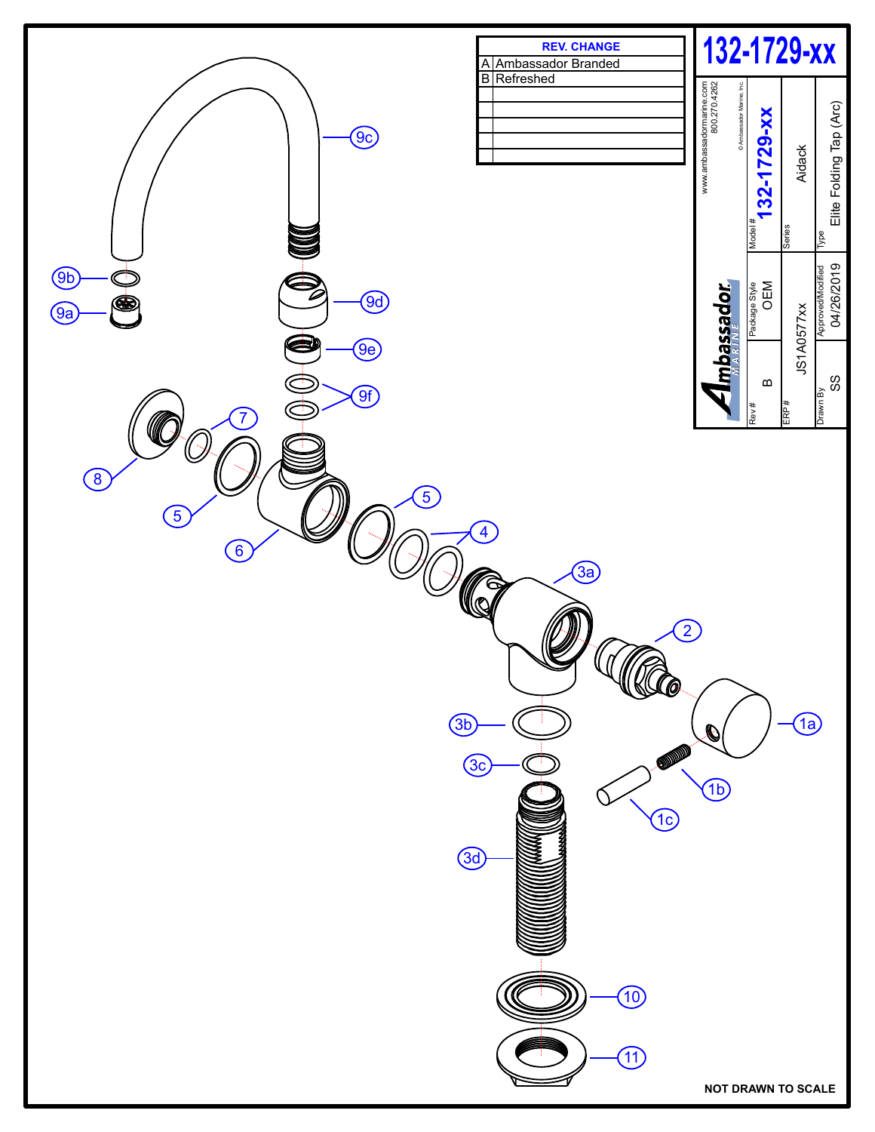